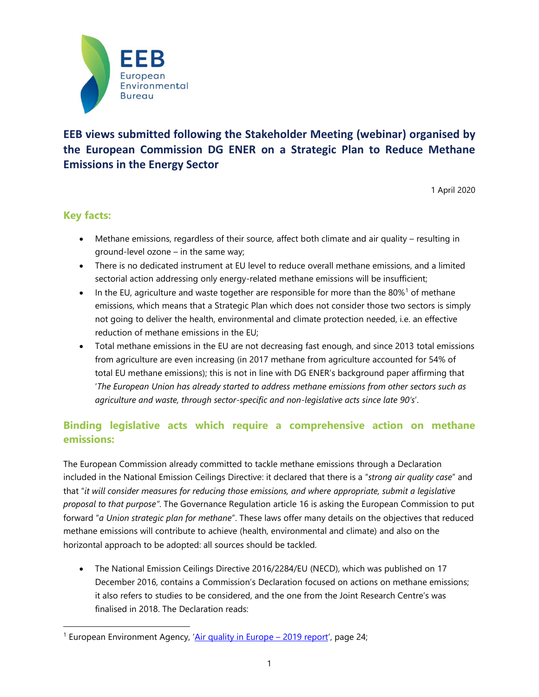

# **EEB views submitted following the Stakeholder Meeting (webinar) organised by the European Commission DG ENER on a Strategic Plan to Reduce Methane Emissions in the Energy Sector**

1 April 2020

### **Key facts:**

- Methane emissions, regardless of their source, affect both climate and air quality resulting in ground-level ozone – in the same way;
- There is no dedicated instrument at EU level to reduce overall methane emissions, and a limited sectorial action addressing only energy-related methane emissions will be insufficient;
- In the EU, agriculture and waste together are responsible for more than the 80%<sup>1</sup> of methane emissions, which means that a Strategic Plan which does not consider those two sectors is simply not going to deliver the health, environmental and climate protection needed, i.e. an effective reduction of methane emissions in the EU;
- Total methane emissions in the EU are not decreasing fast enough, and since 2013 total emissions from agriculture are even increasing (in 2017 methane from agriculture accounted for 54% of total EU methane emissions); this is not in line with DG ENER's background paper affirming that '*The European Union has already started to address methane emissions from other sectors such as agriculture and waste, through sector-specific and non-legislative acts since late 90's*'.

## **Binding legislative acts which require a comprehensive action on methane emissions:**

The European Commission already committed to tackle methane emissions through a Declaration included in the National Emission Ceilings Directive: it declared that there is a "*strong air quality case*" and that "*it will consider measures for reducing those emissions, and where appropriate, submit a legislative proposal to that purpose"*. The Governance Regulation article 16 is asking the European Commission to put forward "*a Union strategic plan for methane*". These laws offer many details on the objectives that reduced methane emissions will contribute to achieve (health, environmental and climate) and also on the horizontal approach to be adopted: all sources should be tackled.

• The National Emission Ceilings Directive 2016/2284/EU (NECD), which was published on 17 December 2016, contains a Commission's Declaration focused on actions on methane emissions; it also refers to studies to be considered, and the one from the Joint Research Centre's was finalised in 2018. The Declaration reads:

<sup>&</sup>lt;sup>1</sup> European Environment Agency, '[Air quality in Europe](https://www.eea.europa.eu/publications/air-quality-in-europe-2019) – 2019 report', page 24;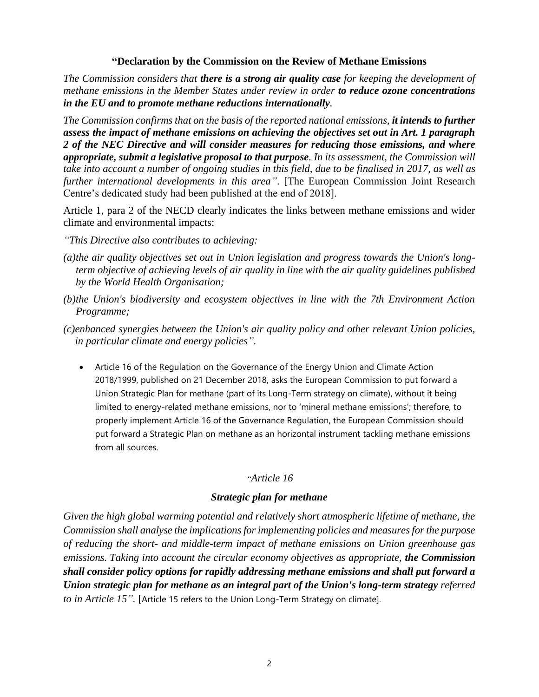#### **"Declaration by the Commission on the Review of Methane Emissions**

*The Commission considers that there is a strong air quality case for keeping the development of methane emissions in the Member States under review in order to reduce ozone concentrations in the EU and to promote methane reductions internationally.*

*The Commission confirms that on the basis of the reported national emissions, it intends to further assess the impact of methane emissions on achieving the objectives set out in Art. 1 paragraph 2 of the NEC Directive and will consider measures for reducing those emissions, and where appropriate, submit a legislative proposal to that purpose. In its assessment, the Commission will take into account a number of ongoing studies in this field, due to be finalised in 2017, as well as further international developments in this area"*. [The European Commission Joint Research Centre's dedicated study had been published at the end of 2018].

Article 1, para 2 of the NECD clearly indicates the links between methane emissions and wider climate and environmental impacts:

- *"This Directive also contributes to achieving:*
- *(a)the air quality objectives set out in Union legislation and progress towards the Union's longterm objective of achieving levels of air quality in line with the air quality guidelines published by the World Health Organisation;*
- *(b)the Union's biodiversity and ecosystem objectives in line with the 7th Environment Action Programme;*
- *(c)enhanced synergies between the Union's air quality policy and other relevant Union policies, in particular climate and energy policies".*
	- Article 16 of the Regulation on the Governance of the Energy Union and Climate Action 2018/1999, published on 21 December 2018, asks the European Commission to put forward a Union Strategic Plan for methane (part of its Long-Term strategy on climate), without it being limited to energy-related methane emissions, nor to 'mineral methane emissions'; therefore, to properly implement Article 16 of the Governance Regulation, the European Commission should put forward a Strategic Plan on methane as an horizontal instrument tackling methane emissions from all sources.

#### "*Article 16*

#### *Strategic plan for methane*

*Given the high global warming potential and relatively short atmospheric lifetime of methane, the Commission shall analyse the implications for implementing policies and measures for the purpose of reducing the short- and middle-term impact of methane emissions on Union greenhouse gas emissions. Taking into account the circular economy objectives as appropriate, the Commission shall consider policy options for rapidly addressing methane emissions and shall put forward a Union strategic plan for methane as an integral part of the Union's long-term strategy referred to in Article 15".* [Article 15 refers to the Union Long-Term Strategy on climate].